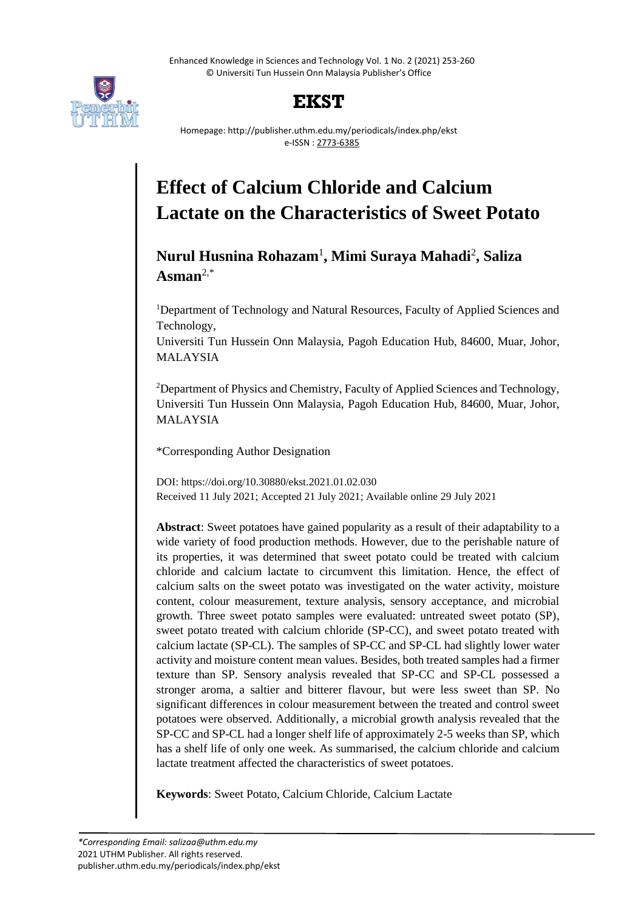Enhanced Knowledge in Sciences and Technology Vol. 1 No. 2 (2021) 253-260 © Universiti Tun Hussein Onn Malaysia Publisher's Office



## **EKST**

Homepage: http://publisher.uthm.edu.my/periodicals/index.php/ekst e-ISSN : 2773-6385

# **Effect of Calcium Chloride and Calcium Lactate on the Characteristics of Sweet Potato**

### **Nurul Husnina Rohazam**<sup>1</sup> **, Mimi Suraya Mahadi**<sup>2</sup> **, Saliza Asman**2,\*

<sup>1</sup>Department of Technology and Natural Resources, Faculty of Applied Sciences and Technology,

Universiti Tun Hussein Onn Malaysia, Pagoh Education Hub, 84600, Muar, Johor, MALAYSIA

<sup>2</sup>Department of Physics and Chemistry, Faculty of Applied Sciences and Technology, Universiti Tun Hussein Onn Malaysia, Pagoh Education Hub, 84600, Muar, Johor, MALAYSIA

\*Corresponding Author Designation

DOI: https://doi.org/10.30880/ekst.2021.01.02.030 Received 11 July 2021; Accepted 21 July 2021; Available online 29 July 2021

**Abstract**: Sweet potatoes have gained popularity as a result of their adaptability to a wide variety of food production methods. However, due to the perishable nature of its properties, it was determined that sweet potato could be treated with calcium chloride and calcium lactate to circumvent this limitation. Hence, the effect of calcium salts on the sweet potato was investigated on the water activity, moisture content, colour measurement, texture analysis, sensory acceptance, and microbial growth. Three sweet potato samples were evaluated: untreated sweet potato (SP), sweet potato treated with calcium chloride (SP-CC), and sweet potato treated with calcium lactate (SP-CL). The samples of SP-CC and SP-CL had slightly lower water activity and moisture content mean values. Besides, both treated samples had a firmer texture than SP. Sensory analysis revealed that SP-CC and SP-CL possessed a stronger aroma, a saltier and bitterer flavour, but were less sweet than SP. No significant differences in colour measurement between the treated and control sweet potatoes were observed. Additionally, a microbial growth analysis revealed that the SP-CC and SP-CL had a longer shelf life of approximately 2-5 weeks than SP, which has a shelf life of only one week. As summarised, the calcium chloride and calcium lactate treatment affected the characteristics of sweet potatoes.

**Keywords**: Sweet Potato, Calcium Chloride, Calcium Lactate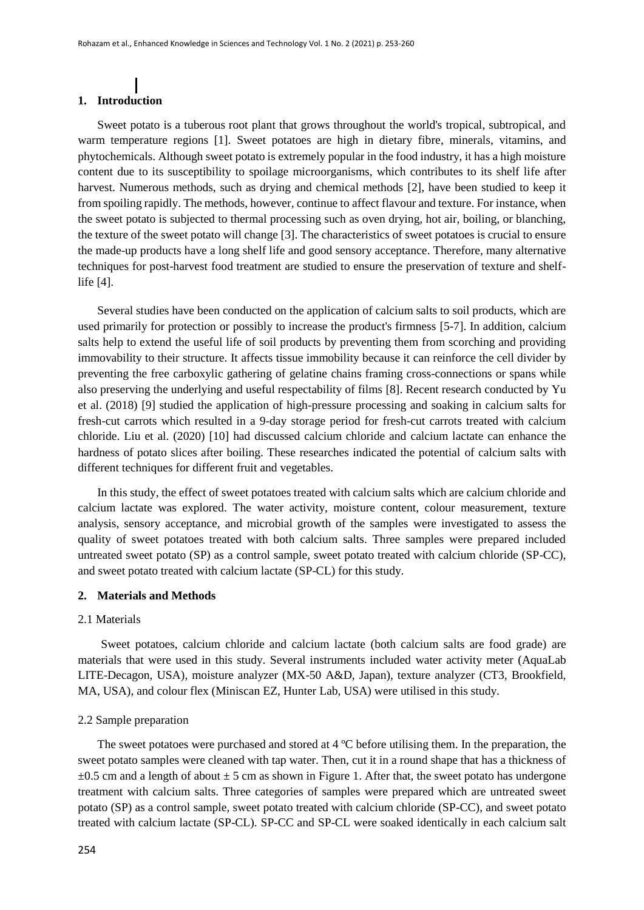#### **1. Introduction**

Sweet potato is a tuberous root plant that grows throughout the world's tropical, subtropical, and warm temperature regions [1]. Sweet potatoes are high in dietary fibre, minerals, vitamins, and phytochemicals. Although sweet potato is extremely popular in the food industry, it has a high moisture content due to its susceptibility to spoilage microorganisms, which contributes to its shelf life after harvest. Numerous methods, such as drying and chemical methods [2], have been studied to keep it from spoiling rapidly. The methods, however, continue to affect flavour and texture. For instance, when the sweet potato is subjected to thermal processing such as oven drying, hot air, boiling, or blanching, the texture of the sweet potato will change [3]. The characteristics of sweet potatoes is crucial to ensure the made-up products have a long shelf life and good sensory acceptance. Therefore, many alternative techniques for post-harvest food treatment are studied to ensure the preservation of texture and shelflife [4].

Several studies have been conducted on the application of calcium salts to soil products, which are used primarily for protection or possibly to increase the product's firmness [5-7]. In addition, calcium salts help to extend the useful life of soil products by preventing them from scorching and providing immovability to their structure. It affects tissue immobility because it can reinforce the cell divider by preventing the free carboxylic gathering of gelatine chains framing cross-connections or spans while also preserving the underlying and useful respectability of films [8]. Recent research conducted by Yu et al. (2018) [9] studied the application of high-pressure processing and soaking in calcium salts for fresh-cut carrots which resulted in a 9-day storage period for fresh-cut carrots treated with calcium chloride. Liu et al. (2020) [10] had discussed calcium chloride and calcium lactate can enhance the hardness of potato slices after boiling. These researches indicated the potential of calcium salts with different techniques for different fruit and vegetables.

In this study, the effect of sweet potatoes treated with calcium salts which are calcium chloride and calcium lactate was explored. The water activity, moisture content, colour measurement, texture analysis, sensory acceptance, and microbial growth of the samples were investigated to assess the quality of sweet potatoes treated with both calcium salts. Three samples were prepared included untreated sweet potato (SP) as a control sample, sweet potato treated with calcium chloride (SP-CC), and sweet potato treated with calcium lactate (SP-CL) for this study.

#### **2. Materials and Methods**

#### 2.1 Materials

Sweet potatoes, calcium chloride and calcium lactate (both calcium salts are food grade) are materials that were used in this study. Several instruments included water activity meter (AquaLab LITE-Decagon, USA), moisture analyzer (MX-50 A&D, Japan), texture analyzer (CT3, Brookfield, MA, USA), and colour flex (Miniscan EZ, Hunter Lab, USA) were utilised in this study.

#### 2.2 Sample preparation

The sweet potatoes were purchased and stored at 4 ºC before utilising them. In the preparation, the sweet potato samples were cleaned with tap water. Then, cut it in a round shape that has a thickness of  $\pm 0.5$  cm and a length of about  $\pm 5$  cm as shown in Figure 1. After that, the sweet potato has undergone treatment with calcium salts. Three categories of samples were prepared which are untreated sweet potato (SP) as a control sample, sweet potato treated with calcium chloride (SP-CC), and sweet potato treated with calcium lactate (SP-CL). SP-CC and SP-CL were soaked identically in each calcium salt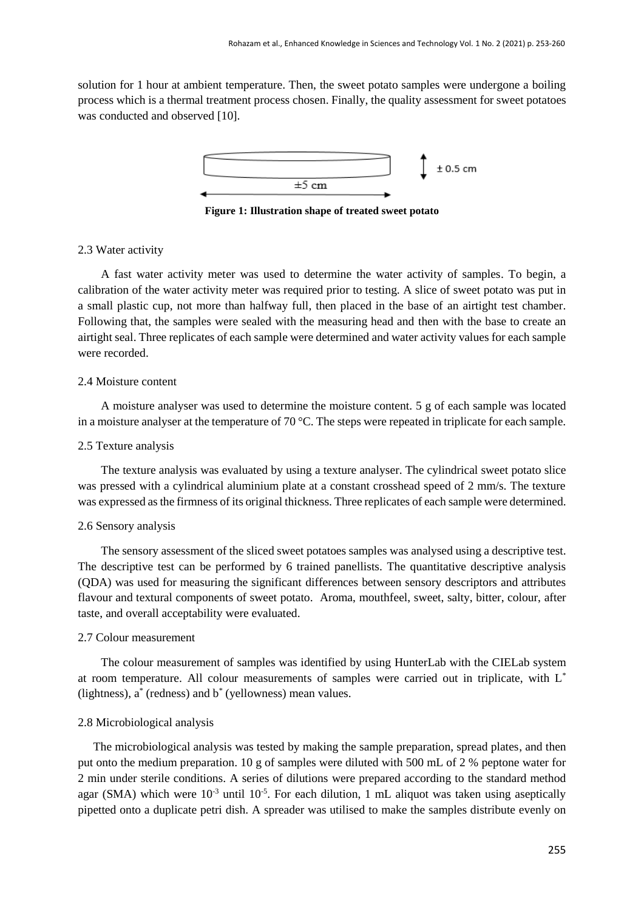solution for 1 hour at ambient temperature. Then, the sweet potato samples were undergone a boiling process which is a thermal treatment process chosen. Finally, the quality assessment for sweet potatoes was conducted and observed [10].



**Figure 1: Illustration shape of treated sweet potato**

#### 2.3 Water activity

A fast water activity meter was used to determine the water activity of samples. To begin, a calibration of the water activity meter was required prior to testing. A slice of sweet potato was put in a small plastic cup, not more than halfway full, then placed in the base of an airtight test chamber. Following that, the samples were sealed with the measuring head and then with the base to create an airtight seal. Three replicates of each sample were determined and water activity values for each sample were recorded.

#### 2.4 Moisture content

A moisture analyser was used to determine the moisture content. 5 g of each sample was located in a moisture analyser at the temperature of 70 °C. The steps were repeated in triplicate for each sample.

#### 2.5 Texture analysis

The texture analysis was evaluated by using a texture analyser. The cylindrical sweet potato slice was pressed with a cylindrical aluminium plate at a constant crosshead speed of 2 mm/s. The texture was expressed as the firmness of its original thickness. Three replicates of each sample were determined.

#### 2.6 Sensory analysis

The sensory assessment of the sliced sweet potatoes samples was analysed using a descriptive test. The descriptive test can be performed by 6 trained panellists. The quantitative descriptive analysis (QDA) was used for measuring the significant differences between sensory descriptors and attributes flavour and textural components of sweet potato. Aroma, mouthfeel, sweet, salty, bitter, colour, after taste, and overall acceptability were evaluated.

#### 2.7 Colour measurement

The colour measurement of samples was identified by using HunterLab with the CIELab system at room temperature. All colour measurements of samples were carried out in triplicate, with L\* (lightness), a\* (redness) and b\* (yellowness) mean values.

#### 2.8 Microbiological analysis

The microbiological analysis was tested by making the sample preparation, spread plates, and then put onto the medium preparation. 10 g of samples were diluted with 500 mL of 2 % peptone water for 2 min under sterile conditions. A series of dilutions were prepared according to the standard method agar (SMA) which were  $10^{-3}$  until  $10^{-5}$ . For each dilution, 1 mL aliquot was taken using aseptically pipetted onto a duplicate petri dish. A spreader was utilised to make the samples distribute evenly on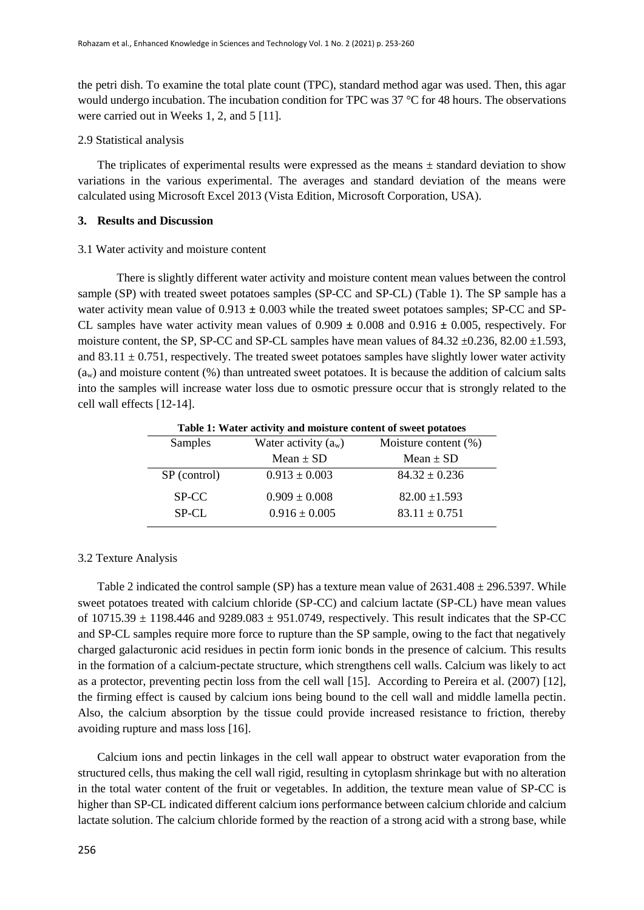the petri dish. To examine the total plate count (TPC), standard method agar was used. Then, this agar would undergo incubation. The incubation condition for TPC was 37 °C for 48 hours. The observations were carried out in Weeks 1, 2, and 5 [11].

#### 2.9 Statistical analysis

The triplicates of experimental results were expressed as the means  $\pm$  standard deviation to show variations in the various experimental. The averages and standard deviation of the means were calculated using Microsoft Excel 2013 (Vista Edition, Microsoft Corporation, USA).

#### **3. Results and Discussion**

#### 3.1 Water activity and moisture content

There is slightly different water activity and moisture content mean values between the control sample (SP) with treated sweet potatoes samples (SP-CC and SP-CL) (Table 1). The SP sample has a water activity mean value of 0.913 **±** 0.003 while the treated sweet potatoes samples; SP-CC and SP-CL samples have water activity mean values of  $0.909 \pm 0.008$  and  $0.916 \pm 0.005$ , respectively. For moisture content, the SP, SP-CC and SP-CL samples have mean values of  $84.32 \pm 0.236$ ,  $82.00 \pm 1.593$ , and  $83.11 \pm 0.751$ , respectively. The treated sweet potatoes samples have slightly lower water activity  $(a_w)$  and moisture content  $(\%)$  than untreated sweet potatoes. It is because the addition of calcium salts into the samples will increase water loss due to osmotic pressure occur that is strongly related to the cell wall effects [12-14].

| Tuble 10 wave activity and monitored content of bu cer potatoeb |                         |  |  |  |
|-----------------------------------------------------------------|-------------------------|--|--|--|
| Water activity $(a_w)$                                          | Moisture content $(\%)$ |  |  |  |
| Mean $\pm$ SD                                                   | Mean $\pm$ SD           |  |  |  |
| $0.913 \pm 0.003$                                               | $84.32 \pm 0.236$       |  |  |  |
| $0.909 \pm 0.008$                                               | $82.00 \pm 1.593$       |  |  |  |
| $0.916 \pm 0.005$                                               | $83.11 \pm 0.751$       |  |  |  |
|                                                                 |                         |  |  |  |

**Table 1: Water activity and moisture content of sweet potatoes**

#### 3.2 Texture Analysis

Table 2 indicated the control sample (SP) has a texture mean value of  $2631.408 \pm 296.5397$ . While sweet potatoes treated with calcium chloride (SP-CC) and calcium lactate (SP-CL) have mean values of  $10715.39 \pm 1198.446$  and  $9289.083 \pm 951.0749$ , respectively. This result indicates that the SP-CC and SP-CL samples require more force to rupture than the SP sample, owing to the fact that negatively charged galacturonic acid residues in pectin form ionic bonds in the presence of calcium. This results in the formation of a calcium-pectate structure, which strengthens cell walls. Calcium was likely to act as a protector, preventing pectin loss from the cell wall [15]. According to Pereira et al. (2007) [12], the firming effect is caused by calcium ions being bound to the cell wall and middle lamella pectin. Also, the calcium absorption by the tissue could provide increased resistance to friction, thereby avoiding rupture and mass loss [16].

Calcium ions and pectin linkages in the cell wall appear to obstruct water evaporation from the structured cells, thus making the cell wall rigid, resulting in cytoplasm shrinkage but with no alteration in the total water content of the fruit or vegetables. In addition, the texture mean value of SP-CC is higher than SP-CL indicated different calcium ions performance between calcium chloride and calcium lactate solution. The calcium chloride formed by the reaction of a strong acid with a strong base, while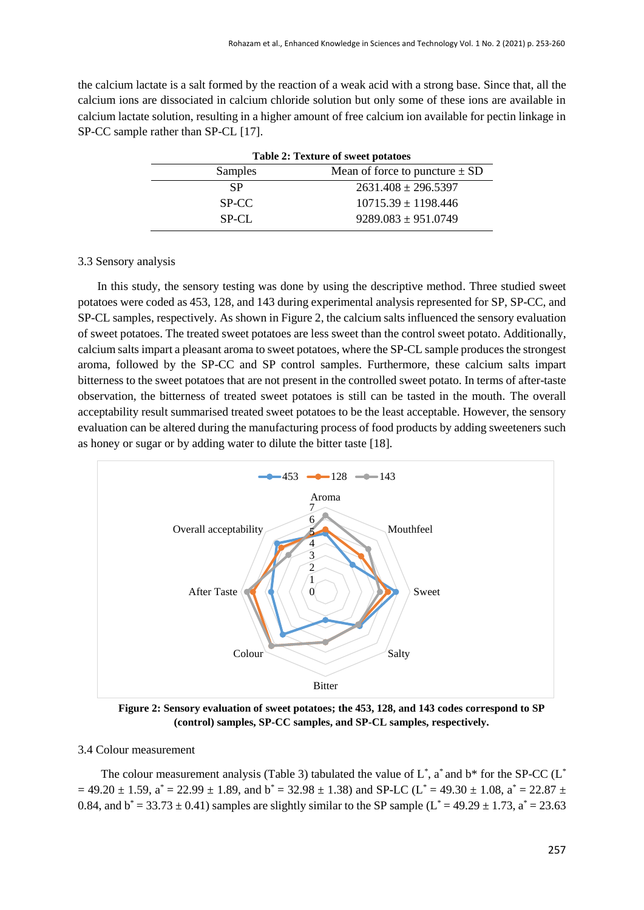the calcium lactate is a salt formed by the reaction of a weak acid with a strong base. Since that, all the calcium ions are dissociated in calcium chloride solution but only some of these ions are available in calcium lactate solution, resulting in a higher amount of free calcium ion available for pectin linkage in SP-CC sample rather than SP-CL [17].

| <b>Table 2: Texture of sweet potatoes</b> |                                    |  |
|-------------------------------------------|------------------------------------|--|
| Samples                                   | Mean of force to puncture $\pm$ SD |  |
| SP                                        | $2631.408 \pm 296.5397$            |  |
| SP-CC                                     | $10715.39 \pm 1198.446$            |  |
| $SP-CI$ .                                 | $9289.083 \pm 951.0749$            |  |

#### 3.3 Sensory analysis

In this study, the sensory testing was done by using the descriptive method. Three studied sweet potatoes were coded as 453, 128, and 143 during experimental analysis represented for SP, SP-CC, and SP-CL samples, respectively. As shown in Figure 2, the calcium salts influenced the sensory evaluation of sweet potatoes. The treated sweet potatoes are less sweet than the control sweet potato. Additionally, calcium salts impart a pleasant aroma to sweet potatoes, where the SP-CL sample produces the strongest aroma, followed by the SP-CC and SP control samples. Furthermore, these calcium salts impart bitterness to the sweet potatoes that are not present in the controlled sweet potato. In terms of after-taste observation, the bitterness of treated sweet potatoes is still can be tasted in the mouth. The overall acceptability result summarised treated sweet potatoes to be the least acceptable. However, the sensory evaluation can be altered during the manufacturing process of food products by adding sweeteners such as honey or sugar or by adding water to dilute the bitter taste [18].



**Figure 2: Sensory evaluation of sweet potatoes; the 453, 128, and 143 codes correspond to SP (control) samples, SP-CC samples, and SP-CL samples, respectively.**

#### 3.4 Colour measurement

The colour measurement analysis (Table 3) tabulated the value of  $L^*$ , a<sup>\*</sup> and  $b^*$  for the SP-CC ( $L^*$  $= 49.20 \pm 1.59$ ,  $a^* = 22.99 \pm 1.89$ , and  $b^* = 32.98 \pm 1.38$ ) and SP-LC (L<sup>\*</sup> = 49.30  $\pm$  1.08,  $a^* = 22.87 \pm 1.08$ 0.84, and  $b^* = 33.73 \pm 0.41$ ) samples are slightly similar to the SP sample ( $L^* = 49.29 \pm 1.73$ ,  $a^* = 23.63$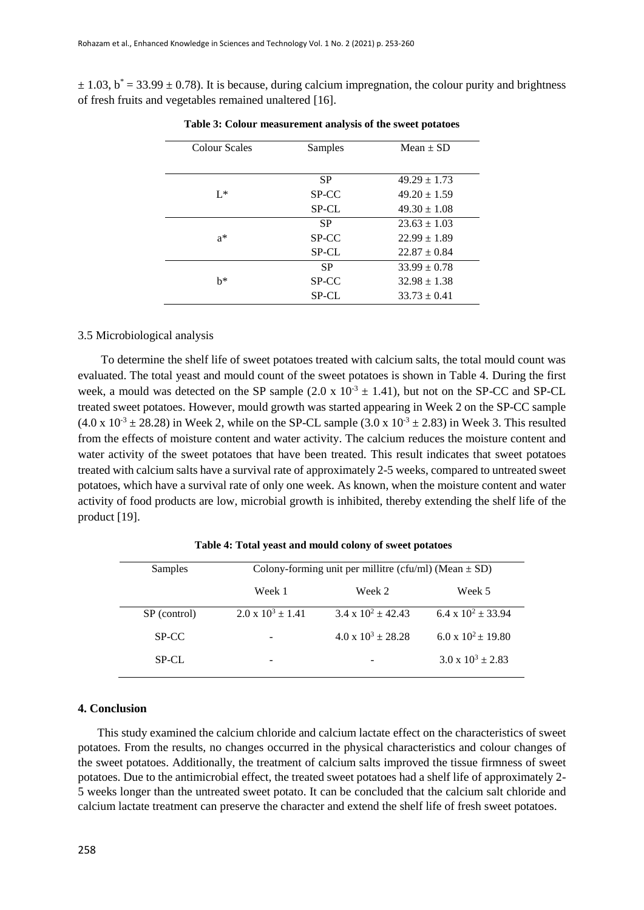$\pm$  1.03, b<sup>\*</sup> = 33.99  $\pm$  0.78). It is because, during calcium impregnation, the colour purity and brightness of fresh fruits and vegetables remained unaltered [16].

| Colour Scales | Samples      | $Mean \pm SD$    |
|---------------|--------------|------------------|
|               | <b>SP</b>    | $49.29 \pm 1.73$ |
| $I^*$         | SP-CC        | $49.20 \pm 1.59$ |
|               | <b>SP-CL</b> | $49.30 \pm 1.08$ |
|               | <b>SP</b>    | $23.63 \pm 1.03$ |
| $a^*$         | SP-CC        | $22.99 \pm 1.89$ |
|               | SP-CL        | $22.87 \pm 0.84$ |
|               | <b>SP</b>    | $33.99 \pm 0.78$ |
| h*            | SP-CC        | $32.98 \pm 1.38$ |
|               | <b>SP-CL</b> | $33.73 \pm 0.41$ |

**Table 3: Colour measurement analysis of the sweet potatoes**

#### 3.5 Microbiological analysis

To determine the shelf life of sweet potatoes treated with calcium salts, the total mould count was evaluated. The total yeast and mould count of the sweet potatoes is shown in Table 4. During the first week, a mould was detected on the SP sample  $(2.0 \times 10^{-3} \pm 1.41)$ , but not on the SP-CC and SP-CL treated sweet potatoes. However, mould growth was started appearing in Week 2 on the SP-CC sample  $(4.0 \times 10^{-3} \pm 28.28)$  in Week 2, while on the SP-CL sample  $(3.0 \times 10^{-3} \pm 2.83)$  in Week 3. This resulted from the effects of moisture content and water activity. The calcium reduces the moisture content and water activity of the sweet potatoes that have been treated. This result indicates that sweet potatoes treated with calcium salts have a survival rate of approximately 2-5 weeks, compared to untreated sweet potatoes, which have a survival rate of only one week. As known, when the moisture content and water activity of food products are low, microbial growth is inhibited, thereby extending the shelf life of the product [19].

| Samples      | Colony-forming unit per millitre (cfu/ml) (Mean $\pm$ SD) |                             |                          |
|--------------|-----------------------------------------------------------|-----------------------------|--------------------------|
|              | Week 1                                                    | Week 2                      | Week 5                   |
| SP (control) | $2.0 \times 10^3 + 1.41$                                  | $3.4 \times 10^2 + 42.43$   | 6.4 x $10^2 \pm 33.94$   |
| SP-CC        | $\qquad \qquad$                                           | $4.0 \times 10^3 \pm 28.28$ | 6.0 x $10^2 \pm 19.80$   |
| SP-CL        | -                                                         |                             | $3.0 \times 10^3 + 2.83$ |

**Table 4: Total yeast and mould colony of sweet potatoes**

#### **4. Conclusion**

This study examined the calcium chloride and calcium lactate effect on the characteristics of sweet potatoes. From the results, no changes occurred in the physical characteristics and colour changes of the sweet potatoes. Additionally, the treatment of calcium salts improved the tissue firmness of sweet potatoes. Due to the antimicrobial effect, the treated sweet potatoes had a shelf life of approximately 2- 5 weeks longer than the untreated sweet potato. It can be concluded that the calcium salt chloride and calcium lactate treatment can preserve the character and extend the shelf life of fresh sweet potatoes.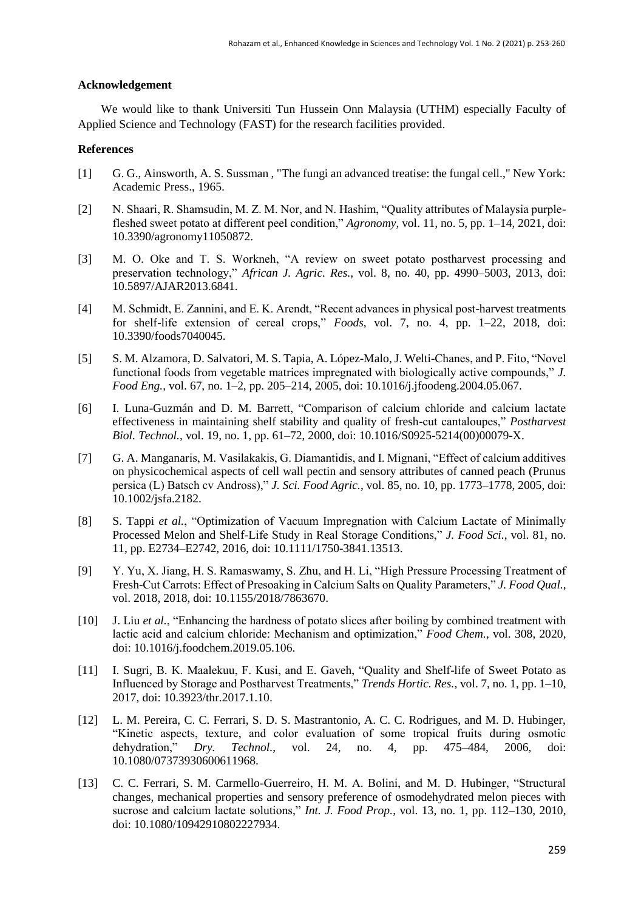#### **Acknowledgement**

We would like to thank Universiti Tun Hussein Onn Malaysia (UTHM) especially Faculty of Applied Science and Technology (FAST) for the research facilities provided.

#### **References**

- [1] G. G., Ainsworth, A. S. Sussman , "The fungi an advanced treatise: the fungal cell.," New York: Academic Press., 1965.
- [2] N. Shaari, R. Shamsudin, M. Z. M. Nor, and N. Hashim, "Quality attributes of Malaysia purplefleshed sweet potato at different peel condition," *Agronomy*, vol. 11, no. 5, pp. 1–14, 2021, doi: 10.3390/agronomy11050872.
- [3] M. O. Oke and T. S. Workneh, "A review on sweet potato postharvest processing and preservation technology," *African J. Agric. Res.*, vol. 8, no. 40, pp. 4990–5003, 2013, doi: 10.5897/AJAR2013.6841.
- [4] M. Schmidt, E. Zannini, and E. K. Arendt, "Recent advances in physical post-harvest treatments for shelf-life extension of cereal crops," *Foods*, vol. 7, no. 4, pp. 1–22, 2018, doi: 10.3390/foods7040045.
- [5] S. M. Alzamora, D. Salvatori, M. S. Tapia, A. López-Malo, J. Welti-Chanes, and P. Fito, "Novel functional foods from vegetable matrices impregnated with biologically active compounds," *J. Food Eng.*, vol. 67, no. 1–2, pp. 205–214, 2005, doi: 10.1016/j.jfoodeng.2004.05.067.
- [6] I. Luna-Guzmán and D. M. Barrett, "Comparison of calcium chloride and calcium lactate effectiveness in maintaining shelf stability and quality of fresh-cut cantaloupes," *Postharvest Biol. Technol.*, vol. 19, no. 1, pp. 61–72, 2000, doi: 10.1016/S0925-5214(00)00079-X.
- [7] G. A. Manganaris, M. Vasilakakis, G. Diamantidis, and I. Mignani, "Effect of calcium additives on physicochemical aspects of cell wall pectin and sensory attributes of canned peach (Prunus persica (L) Batsch cv Andross)," *J. Sci. Food Agric.*, vol. 85, no. 10, pp. 1773–1778, 2005, doi: 10.1002/jsfa.2182.
- [8] S. Tappi *et al.*, "Optimization of Vacuum Impregnation with Calcium Lactate of Minimally Processed Melon and Shelf-Life Study in Real Storage Conditions," *J. Food Sci.*, vol. 81, no. 11, pp. E2734–E2742, 2016, doi: 10.1111/1750-3841.13513.
- [9] Y. Yu, X. Jiang, H. S. Ramaswamy, S. Zhu, and H. Li, "High Pressure Processing Treatment of Fresh-Cut Carrots: Effect of Presoaking in Calcium Salts on Quality Parameters," *J. Food Qual.*, vol. 2018, 2018, doi: 10.1155/2018/7863670.
- [10] J. Liu *et al.*, "Enhancing the hardness of potato slices after boiling by combined treatment with lactic acid and calcium chloride: Mechanism and optimization," *Food Chem.*, vol. 308, 2020, doi: 10.1016/j.foodchem.2019.05.106.
- [11] I. Sugri, B. K. Maalekuu, F. Kusi, and E. Gaveh, "Quality and Shelf-life of Sweet Potato as Influenced by Storage and Postharvest Treatments," *Trends Hortic. Res.*, vol. 7, no. 1, pp. 1–10, 2017, doi: 10.3923/thr.2017.1.10.
- [12] L. M. Pereira, C. C. Ferrari, S. D. S. Mastrantonio, A. C. C. Rodrigues, and M. D. Hubinger, "Kinetic aspects, texture, and color evaluation of some tropical fruits during osmotic dehydration," *Dry. Technol.*, vol. 24, no. 4, pp. 475–484, 2006, doi: 10.1080/07373930600611968.
- [13] C. C. Ferrari, S. M. Carmello-Guerreiro, H. M. A. Bolini, and M. D. Hubinger, "Structural changes, mechanical properties and sensory preference of osmodehydrated melon pieces with sucrose and calcium lactate solutions," *Int. J. Food Prop.*, vol. 13, no. 1, pp. 112–130, 2010, doi: 10.1080/10942910802227934.